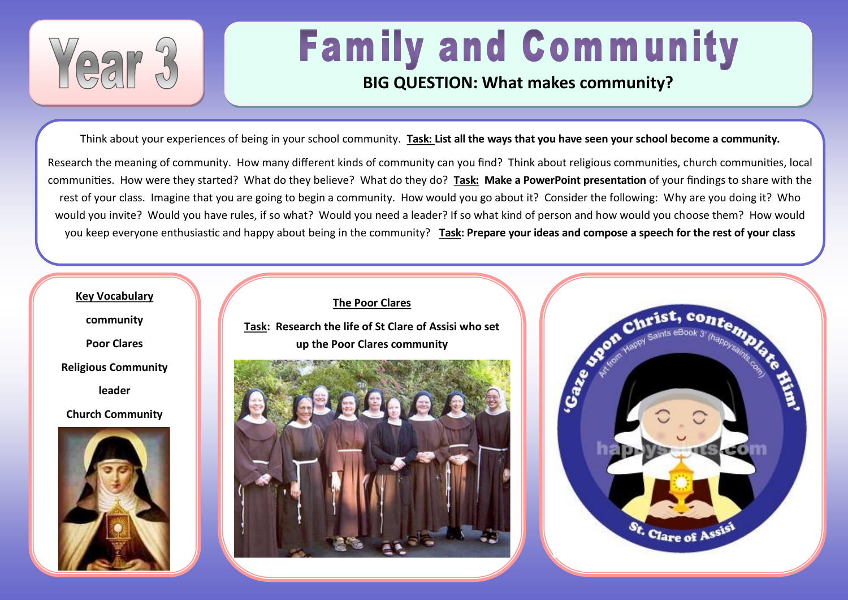

# **Family and Community**

### **BIG QUESTION: What makes community?**

Think about your experiences of being in your school community. **Task: List all the ways that you have seen your school become a community.** 

Research the meaning of community. How many different kinds of community can you find? Think about religious communities, church communities, local communities. How were they started? What do they believe? What do they do? **Task: Make a PowerPoint presentation** of your findings to share with the rest of your class. Imagine that you are going to begin a community. How would you go about it? Consider the following: Why are you doing it? Who would you invite? Would you have rules, if so what? Would you need a leader? If so what kind of person and how would you choose them? How would you keep everyone enthusiastic and happy about being in the community? **Task: Prepare your ideas and compose a speech for the rest of your class**



**community**

**Poor Clares**

**Religious Community**

**leader**

**Church Community**



**The Poor Clares Task: Research the life of St Clare of Assisi who set up the Poor Clares community**